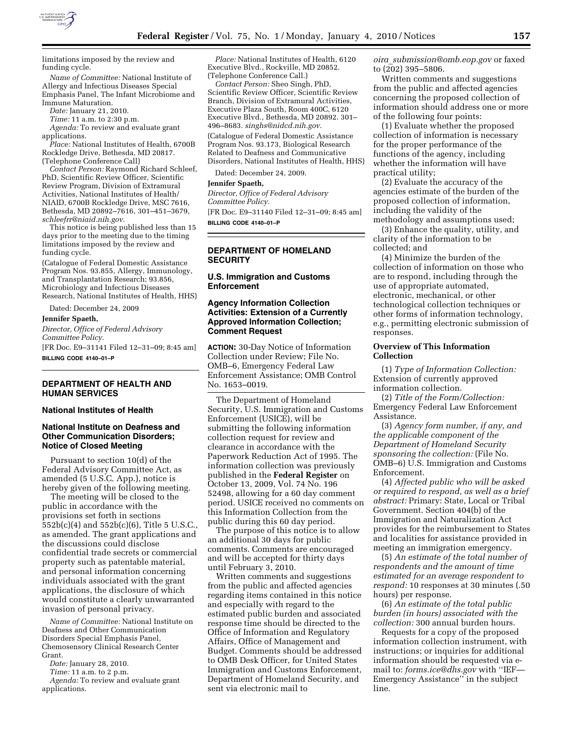

limitations imposed by the review and funding cycle.

*Name of Committee:* National Institute of Allergy and Infectious Diseases Special Emphasis Panel, The Infant Microbiome and Immune Maturation.

*Date:* January 21, 2010.

*Time:* 11 a.m. to 2:30 p.m.

*Agenda:* To review and evaluate grant applications.

*Place:* National Institutes of Health, 6700B Rockledge Drive, Bethesda, MD 20817. (Telephone Conference Call)

*Contact Person:* Raymond Richard Schleef, PhD, Scientific Review Officer, Scientific Review Program, Division of Extramural Activities, National Institutes of Health/ NIAID, 6700B Rockledge Drive, MSC 7616, Bethesda, MD 20892–7616, 301–451–3679, *schleefrr@niaid.nih.gov*.

This notice is being published less than 15 days prior to the meeting due to the timing limitations imposed by the review and funding cycle.

(Catalogue of Federal Domestic Assistance Program Nos. 93.855, Allergy, Immunology, and Transplantation Research; 93.856, Microbiology and Infectious Diseases Research, National Institutes of Health, HHS)

Dated: December 24, 2009

**Jennifer Spaeth,** 

*Director, Office of Federal Advisory Committee Policy.* 

[FR Doc. E9–31141 Filed 12–31–09; 8:45 am] **BILLING CODE 4140–01–P** 

# **DEPARTMENT OF HEALTH AND HUMAN SERVICES**

## **National Institutes of Health**

# **National Institute on Deafness and Other Communication Disorders; Notice of Closed Meeting**

Pursuant to section 10(d) of the Federal Advisory Committee Act, as amended (5 U.S.C. App.), notice is hereby given of the following meeting.

The meeting will be closed to the public in accordance with the provisions set forth in sections 552b(c)(4) and 552b(c)(6), Title 5 U.S.C., as amended. The grant applications and the discussions could disclose confidential trade secrets or commercial property such as patentable material, and personal information concerning individuals associated with the grant applications, the disclosure of which would constitute a clearly unwarranted invasion of personal privacy.

*Name of Committee:* National Institute on Deafness and Other Communication Disorders Special Emphasis Panel, Chemosensory Clinical Research Center Grant.

*Date:* January 28, 2010.

*Time:* 11 a.m. to 2 p.m.

*Agenda:* To review and evaluate grant applications.

*Place:* National Institutes of Health, 6120 Executive Blvd., Rockville, MD 20852. (Telephone Conference Call.)

*Contact Person:* Sheo Singh, PhD, Scientific Review Officer, Scientific Review Branch, Division of Extramural Activities, Executive Plaza South, Room 400C, 6120 Executive Blvd., Bethesda, MD 20892. 301– 496–8683. *singhs@nidcd.nih.gov*. (Catalogue of Federal Domestic Assistance Program Nos. 93.173, Biological Research Related to Deafness and Communicative Disorders, National Institutes of Health, HHS)

Dated: December 24, 2009.

# **Jennifer Spaeth,**

*Director, Office of Federal Advisory Committee Policy.* 

[FR Doc. E9–31140 Filed 12–31–09; 8:45 am] **BILLING CODE 4140–01–P** 

#### **DEPARTMENT OF HOMELAND SECURITY**

**U.S. Immigration and Customs Enforcement** 

## **Agency Information Collection Activities: Extension of a Currently Approved Information Collection; Comment Request**

**ACTION:** 30-Day Notice of Information Collection under Review; File No. OMB–6, Emergency Federal Law Enforcement Assistance; OMB Control No. 1653–0019.

The Department of Homeland Security, U.S. Immigration and Customs Enforcement (USICE), will be submitting the following information collection request for review and clearance in accordance with the Paperwork Reduction Act of 1995. The information collection was previously published in the **Federal Register** on October 13, 2009, Vol. 74 No. 196 52498, allowing for a 60 day comment period. USICE received no comments on this Information Collection from the public during this 60 day period.

The purpose of this notice is to allow an additional 30 days for public comments. Comments are encouraged and will be accepted for thirty days until February 3, 2010.

Written comments and suggestions from the public and affected agencies regarding items contained in this notice and especially with regard to the estimated public burden and associated response time should be directed to the Office of Information and Regulatory Affairs, Office of Management and Budget. Comments should be addressed to OMB Desk Officer, for United States Immigration and Customs Enforcement, Department of Homeland Security, and sent via electronic mail to

*oira*\_*submission@omb.eop.gov* or faxed to (202) 395–5806.

Written comments and suggestions from the public and affected agencies concerning the proposed collection of information should address one or more of the following four points:

(1) Evaluate whether the proposed collection of information is necessary for the proper performance of the functions of the agency, including whether the information will have practical utility;

(2) Evaluate the accuracy of the agencies estimate of the burden of the proposed collection of information, including the validity of the methodology and assumptions used;

(3) Enhance the quality, utility, and clarity of the information to be collected; and

(4) Minimize the burden of the collection of information on those who are to respond, including through the use of appropriate automated, electronic, mechanical, or other technological collection techniques or other forms of information technology, e.g., permitting electronic submission of responses.

### **Overview of This Information Collection**

(1) *Type of Information Collection:*  Extension of currently approved information collection.

(2) *Title of the Form/Collection:*  Emergency Federal Law Enforcement Assistance.

(3) *Agency form number, if any, and the applicable component of the Department of Homeland Security sponsoring the collection:* (File No. OMB–6) U.S. Immigration and Customs Enforcement.

(4) *Affected public who will be asked or required to respond, as well as a brief abstract:* Primary: State, Local or Tribal Government. Section 404(b) of the Immigration and Naturalization Act provides for the reimbursement to States and localities for assistance provided in meeting an immigration emergency.

(5) *An estimate of the total number of respondents and the amount of time estimated for an average respondent to respond:* 10 responses at 30 minutes (.50 hours) per response.

(6) *An estimate of the total public burden (in hours) associated with the collection:* 300 annual burden hours.

Requests for a copy of the proposed information collection instrument, with instructions; or inquiries for additional information should be requested via email to: *forms.ice@dhs.gov* with ''IEF— Emergency Assistance'' in the subject line.